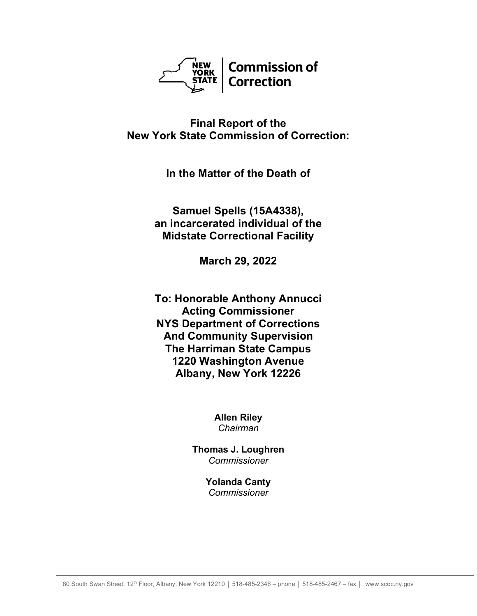

# **Final Report of the New York State Commission of Correction:**

**In the Matter of the Death of**

**Samuel Spells (15A4338), an incarcerated individual of the Midstate Correctional Facility**

**March 29, 2022**

**To: Honorable Anthony Annucci Acting Commissioner NYS Department of Corrections And Community Supervision The Harriman State Campus 1220 Washington Avenue Albany, New York 12226**

> **Allen Riley** *Chairman*

**Thomas J. Loughren** *Commissioner*

> **Yolanda Canty** *Commissioner*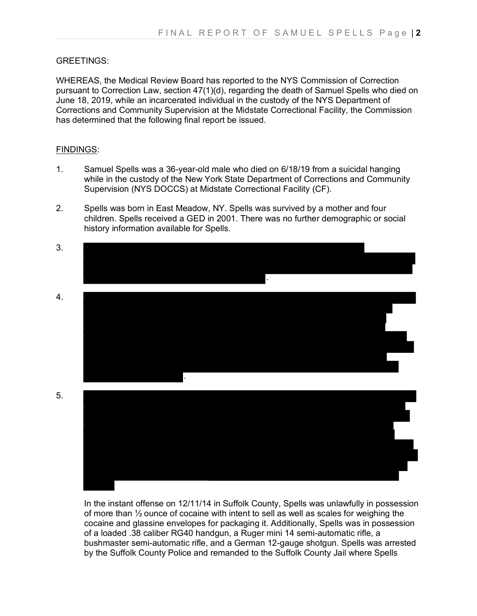### GREETINGS:

WHEREAS, the Medical Review Board has reported to the NYS Commission of Correction pursuant to Correction Law, section 47(1)(d), regarding the death of Samuel Spells who died on June 18, 2019, while an incarcerated individual in the custody of the NYS Department of Corrections and Community Supervision at the Midstate Correctional Facility, the Commission has determined that the following final report be issued.

### FINDINGS:

- 1. Samuel Spells was a 36-year-old male who died on 6/18/19 from a suicidal hanging while in the custody of the New York State Department of Corrections and Community Supervision (NYS DOCCS) at Midstate Correctional Facility (CF).
- 2. Spells was born in East Meadow, NY. Spells was survived by a mother and four children. Spells received a GED in 2001. There was no further demographic or social history information available for Spells.



In the instant offense on 12/11/14 in Suffolk County, Spells was unlawfully in possession of more than  $\frac{1}{2}$  ounce of cocaine with intent to sell as well as scales for weighing the cocaine and glassine envelopes for packaging it. Additionally, Spells was in possession of a loaded .38 caliber RG40 handgun, a Ruger mini 14 semi-automatic rifle, a bushmaster semi-automatic rifle, and a German 12-gauge shotgun. Spells was arrested by the Suffolk County Police and remanded to the Suffolk County Jail where Spells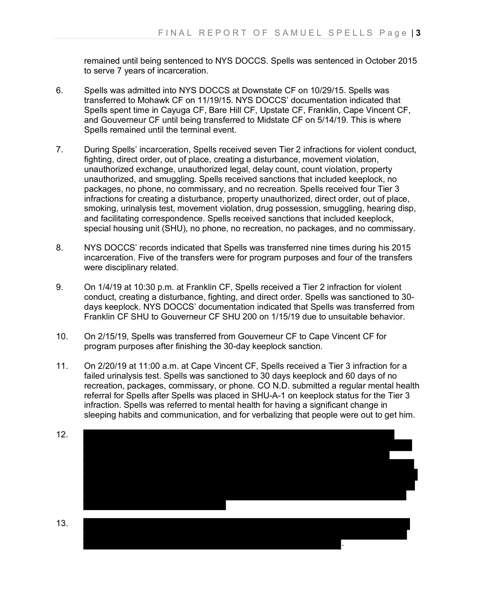remained until being sentenced to NYS DOCCS. Spells was sentenced in October 2015 to serve 7 years of incarceration.

- 6. Spells was admitted into NYS DOCCS at Downstate CF on 10/29/15. Spells was transferred to Mohawk CF on 11/19/15. NYS DOCCS' documentation indicated that Spells spent time in Cayuga CF, Bare Hill CF, Upstate CF, Franklin, Cape Vincent CF, and Gouverneur CF until being transferred to Midstate CF on 5/14/19. This is where Spells remained until the terminal event.
- 7. During Spells' incarceration, Spells received seven Tier 2 infractions for violent conduct, fighting, direct order, out of place, creating a disturbance, movement violation, unauthorized exchange, unauthorized legal, delay count, count violation, property unauthorized, and smuggling. Spells received sanctions that included keeplock, no packages, no phone, no commissary, and no recreation. Spells received four Tier 3 infractions for creating a disturbance, property unauthorized, direct order, out of place, smoking, urinalysis test, movement violation, drug possession, smuggling, hearing disp, and facilitating correspondence. Spells received sanctions that included keeplock, special housing unit (SHU), no phone, no recreation, no packages, and no commissary.
- 8. NYS DOCCS' records indicated that Spells was transferred nine times during his 2015 incarceration. Five of the transfers were for program purposes and four of the transfers were disciplinary related.
- 9. On 1/4/19 at 10:30 p.m. at Franklin CF, Spells received a Tier 2 infraction for violent conduct, creating a disturbance, fighting, and direct order. Spells was sanctioned to 30 days keeplock. NYS DOCCS' documentation indicated that Spells was transferred from Franklin CF SHU to Gouverneur CF SHU 200 on 1/15/19 due to unsuitable behavior.
- 10. On 2/15/19, Spells was transferred from Gouverneur CF to Cape Vincent CF for program purposes after finishing the 30-day keeplock sanction.
- 11. On 2/20/19 at 11:00 a.m. at Cape Vincent CF, Spells received a Tier 3 infraction for a failed urinalysis test. Spells was sanctioned to 30 days keeplock and 60 days of no recreation, packages, commissary, or phone. CO N.D. submitted a regular mental health referral for Spells after Spells was placed in SHU-A-1 on keeplock status for the Tier 3 infraction. Spells was referred to mental health for having a significant change in sleeping habits and communication, and for verbalizing that people were out to get him.

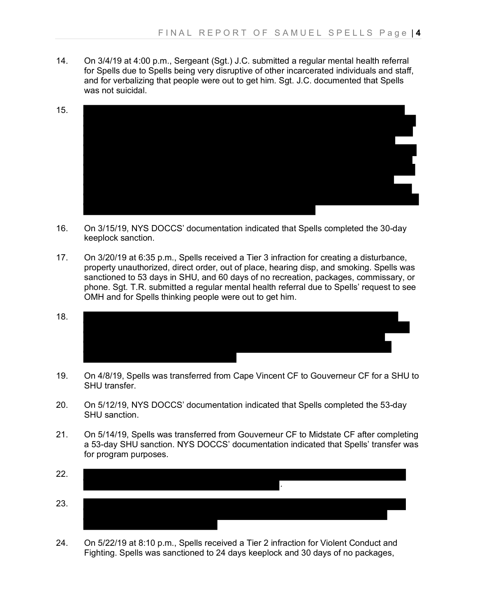14. On 3/4/19 at 4:00 p.m., Sergeant (Sgt.) J.C. submitted a regular mental health referral for Spells due to Spells being very disruptive of other incarcerated individuals and staff, and for verbalizing that people were out to get him. Sgt. J.C. documented that Spells was not suicidal.



- 16. On 3/15/19, NYS DOCCS' documentation indicated that Spells completed the 30-day keeplock sanction.
- 17. On 3/20/19 at 6:35 p.m., Spells received a Tier 3 infraction for creating a disturbance, property unauthorized, direct order, out of place, hearing disp, and smoking. Spells was sanctioned to 53 days in SHU, and 60 days of no recreation, packages, commissary, or phone. Sgt. T.R. submitted a regular mental health referral due to Spells' request to see OMH and for Spells thinking people were out to get him.
- 18.
- 19. On 4/8/19, Spells was transferred from Cape Vincent CF to Gouverneur CF for a SHU to SHU transfer.
- 20. On 5/12/19, NYS DOCCS' documentation indicated that Spells completed the 53-day SHU sanction.
- 21. On 5/14/19, Spells was transferred from Gouverneur CF to Midstate CF after completing a 53-day SHU sanction. NYS DOCCS' documentation indicated that Spells' transfer was for program purposes.



24. On 5/22/19 at 8:10 p.m., Spells received a Tier 2 infraction for Violent Conduct and Fighting. Spells was sanctioned to 24 days keeplock and 30 days of no packages,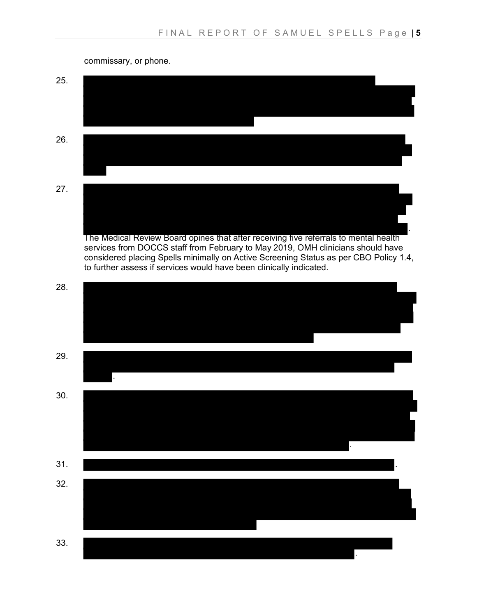

commissary, or phone.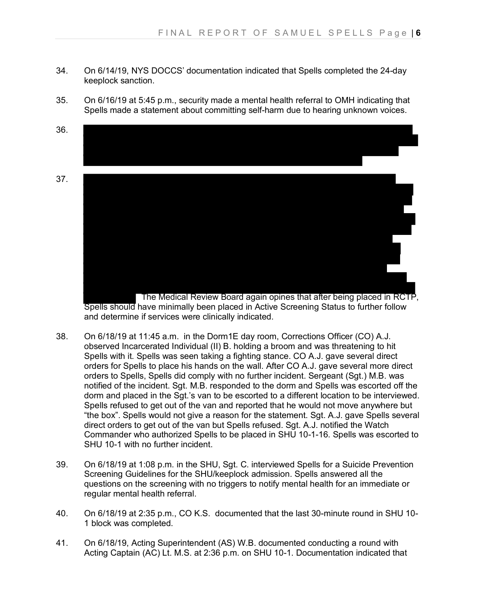- 34. On 6/14/19, NYS DOCCS' documentation indicated that Spells completed the 24-day keeplock sanction.
- 35. On 6/16/19 at 5:45 p.m., security made a mental health referral to OMH indicating that Spells made a statement about committing self-harm due to hearing unknown voices.
- 36.
- 37.



Spells should have minimally been placed in Active Screening Status to further follow and determine if services were clinically indicated.

- 38. On 6/18/19 at 11:45 a.m. in the Dorm1E day room, Corrections Officer (CO) A.J. observed Incarcerated Individual (II) B. holding a broom and was threatening to hit Spells with it. Spells was seen taking a fighting stance. CO A.J. gave several direct orders for Spells to place his hands on the wall. After CO A.J. gave several more direct orders to Spells, Spells did comply with no further incident. Sergeant (Sgt.) M.B. was notified of the incident. Sgt. M.B. responded to the dorm and Spells was escorted off the dorm and placed in the Sgt.'s van to be escorted to a different location to be interviewed. Spells refused to get out of the van and reported that he would not move anywhere but "the box". Spells would not give a reason for the statement. Sgt. A.J. gave Spells several direct orders to get out of the van but Spells refused. Sgt. A.J. notified the Watch Commander who authorized Spells to be placed in SHU 10-1-16. Spells was escorted to SHU 10-1 with no further incident.
- 39. On 6/18/19 at 1:08 p.m. in the SHU, Sgt. C. interviewed Spells for a Suicide Prevention Screening Guidelines for the SHU/keeplock admission. Spells answered all the questions on the screening with no triggers to notify mental health for an immediate or regular mental health referral.
- 40. On 6/18/19 at 2:35 p.m., CO K.S. documented that the last 30-minute round in SHU 10- 1 block was completed.
- 41. On 6/18/19, Acting Superintendent (AS) W.B. documented conducting a round with Acting Captain (AC) Lt. M.S. at 2:36 p.m. on SHU 10-1. Documentation indicated that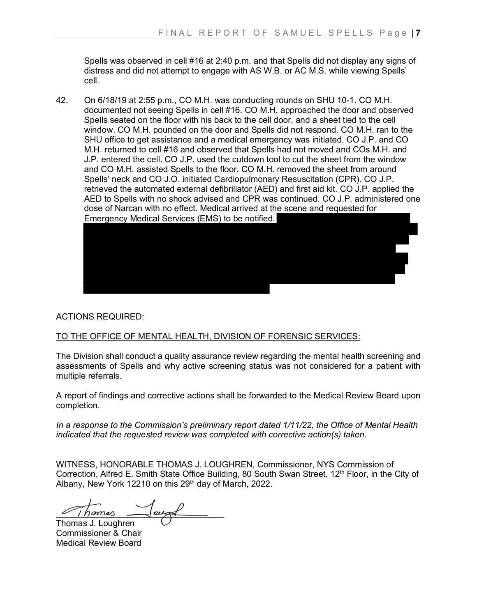Spells was observed in cell #16 at 2:40 p.m. and that Spells did not display any signs of distress and did not attempt to engage with AS W.B. or AC M.S. while viewing Spells' cell.

42. On 6/18/19 at 2:55 p.m., CO M.H. was conducting rounds on SHU 10-1. CO M.H. documented not seeing Spells in cell #16. CO M.H. approached the door and observed Spells seated on the floor with his back to the cell door, and a sheet tied to the cell window. CO M.H. pounded on the door and Spells did not respond. CO M.H. ran to the SHU office to get assistance and a medical emergency was initiated. CO J.P. and CO M.H. returned to cell #16 and observed that Spells had not moved and COs M.H. and J.P. entered the cell. CO J.P. used the cutdown tool to cut the sheet from the window and CO M.H. assisted Spells to the floor. CO M.H. removed the sheet from around Spells' neck and CO J.O. initiated Cardiopulmonary Resuscitation (CPR). CO J.P. retrieved the automated external defibrillator (AED) and first aid kit. CO J.P. applied the AED to Spells with no shock advised and CPR was continued. CO J.P. administered one dose of Narcan with no effect. Medical arrived at the scene and requested for Emergency Medical Services (EMS) to be notified.



## ACTIONS REQUIRED:

## TO THE OFFICE OF MENTAL HEALTH, DIVISION OF FORENSIC SERVICES:

The Division shall conduct a quality assurance review regarding the mental health screening and assessments of Spells and why active screening status was not considered for a patient with multiple referrals.

A report of findings and corrective actions shall be forwarded to the Medical Review Board upon completion.

*In a response to the Commission's preliminary report dated 1/11/22, the Office of Mental Health indicated that the requested review was completed with corrective action(s) taken.*

WITNESS, HONORABLE THOMAS J. LOUGHREN, Commissioner, NYS Commission of Correction, Alfred E. Smith State Office Building, 80 South Swan Street, 12<sup>th</sup> Floor, in the City of Albany, New York 12210 on this 29<sup>th</sup> day of March, 2022.

Jomas  $\overline{a}$ 

Thomas J. Loughren Commissioner & Chair Medical Review Board